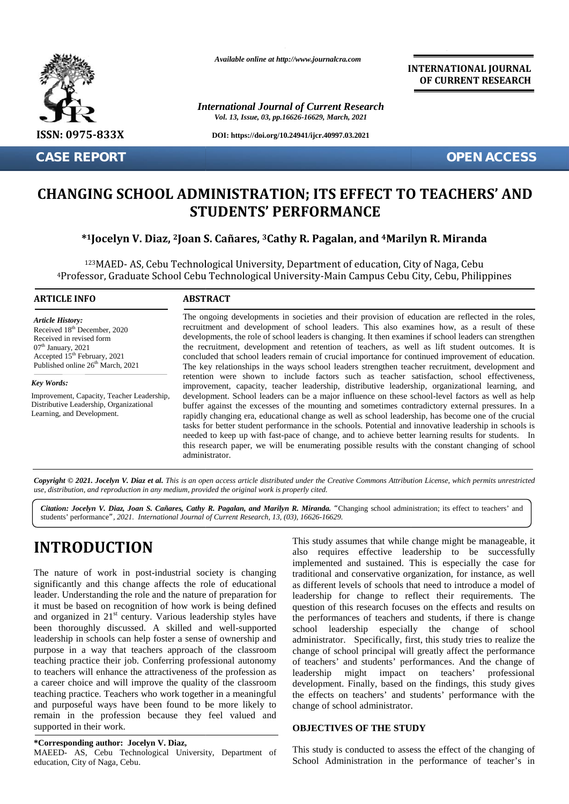

**CASE REPORT OPEN ACCESS**

*Available online at http://www.journalcra.com*

*International Journal of Current Research Vol. 13, Issue, 03, pp.16626-16629, March, 2021*

**DOI: https://doi.org/10.24941/ijcr.40997.03.2021**

**INTERNATIONAL JOURNAL OF CURRENT RESEARCH**

## **CHANGING SCHOOL ADMINISTRATION; ITS EFFECT TO TEACHERS' AND STUDENTS' PERFORMANCE**

### **\* <sup>1</sup>Jocelyn V. Diaz, <sup>2</sup>Joan S. Cañares, <sup>3</sup>Cathy R. Pagalan, and <sup>4</sup>Marilyn R. Miranda 13R. Pagalan,**

<sup>123</sup>MAED- AS, Cebu Technological University, Department of education, City of Naga, Cebu Technological University, <sup>4</sup>Professor, Graduate School Cebu Technological University-Main Campus Cebu City, Cebu, Philippines 4Professor, Graduate School Cebu Technological Philippines

#### **ARTICLE INFO ABSTRACT ARTICLE ABSTRACT**

*Article History: Article History:* Received  $18<sup>th</sup>$  December, 2020 Received 18<sup>--</sup> December, 2020<br>Received in revised form<br>07<sup>th</sup> January, 2021<br>Accepted 15<sup>th</sup> February, 2021  $07<sup>th</sup>$  January,  $2021$ Accepted  $15<sup>th</sup>$  February, 2021 compared 15<sup>th</sup> February, 2021 Published online  $26<sup>th</sup>$  March, 2021

*Key Words:*

Improvement, Capacity, Teacher Leadership, Distributive Leadership, Organizational Learning, and Development. per, 2020<br> *March*, 2021<br> *March, 2021*<br> *,* Teacher Leadership,<br> *p*, Organizational<br>
ment.<br> *Celyn V. Diaz, et al. This*<br> *reproduction in any medius.<br>
<i>N. Diaz, Joan S. Cañares*<br> *Ce'', 2021. International* 

The ongoing developments in societies and their provision of education are reflected in the roles, recruitment and development of school leaders. This also examines how, as a result of these developments, the role of school leaders is changing. It then examines if school leaders can strengthen The ongoing developments in societies and their provision of education are reflected in the roles, recruitment and development of school leaders is changing. It then examines if school leaders can strengthen the recruitmen concluded that school leaders remain of crucial importance for continued improvement of education. The key relationships in the ways school leaders strengthen teacher recruitment, development and retention were shown to include factors such as teacher satisfaction, school effectiveness, improvement, capacity, teacher leadership, distributive leadership, organizational learning, and development. School leaders can be a major influence on these school-level factors as well as help buffer against the excesses of the mounting and sometimes contradictory external pressures. In a rapidly changing era, educational change as well as school leadership, has become one of the crucial tasks for better student performance in the schools. Potential and innovative leadership in schools is needed to keep up with fast-pace of change, and to achieve better learning results for students. In this research paper, we will be enumerating possible results with the constant changing of school administrator. concluded that school leaders remain of crucial importance for continued improvement of education.<br>The key relationships in the ways school leaders strengthen teacher recruitment, development and<br>retention were shown to in Mountain of the students and the former the students. This and y are reach to the control of the students instance of the students in the students in the students in the formula of the students in the students in the contr **CHANGING SCHOOL ADMINISTRATION; ITS EFFECT TO TEACHERS' AND<br>
STUDENTS' PERFORMANCE<br>
\*1Jocelyn V. Diaz, <sup>2</sup>Joan S. Cañares, <sup>3</sup>Cathy R. Pagalan, and <sup>4</sup>Marilyn R. Miranda<br>
<sup>123</sup>MAED- AS, Cebu Technological University, Depa SCHOOL ADMINISTRATION; ITS EFFECT TO TEACHERS' AND<br>
STUDENTS' PERFORMANCE<br>
\*1Jocelyn V. Diaz, <sup>2</sup>Joan S. Cañares, <sup>3</sup>Cathy R. Pagalan, and <sup>4</sup>Marilyn R. Miranda<br>
<sup>123</sup>MAED- AS, Cebu Technological University, Department of** 

**Copyright © 2021. Jocelyn V. Diaz et al.** This is an open access article distributed under the Creative Commons Attribution License, which permits unrestricted<br>use, distribution, and reproduction in any medium, provided t *use, distribution, and reproduction in any medium, provided the original work is properly cited.*

Citation: Jocelyn V. Diaz, Joan S. Cañares, Cathy R. Pagalan, and Marilyn R. Miranda. "Changing school administration; its effect to teachers' and students' performance*", 2021. International Journal of Current Research, 13, (03), 16626-16629.*

# **INTRODUCTION INTRODUCTION**

The nature of work in post-industrial society is changing The nature of work in post-industrial society is changing the significantly and this change affects the role of educational  $\epsilon$ leader. Understanding the role and the nature of preparation for it must be based on recognition of how work is being defined and organized in 21<sup>st</sup> century. Various leadership styles have been thoroughly discussed. A skilled and well-supported leadership in schools can help foster a sense of ownership and purpose in a way that teachers approach of the classroom teaching practice their job. Conferring professional autonomy to teachers will enhance the attractiveness of the profession as a career choice and will improve the quality of the classroom teaching practice. Teachers who work together in a meaningful and purposeful ways have been found to be more likely to remain in the profession because they feel valued and supported in their work. leader. Understanding the role and the nature of preparation for<br>it must be based on recognition of how work is being defined<br>and organized in 21<sup>st</sup> century. Various leadership styles have<br>been thoroughly discussed. A sk and purposeful ways have been found to be more likely to remain in the profession because they feel valued and supported in their work. *2021. Internati*<br> **TION**<br>
in post-inc<br>
change aff<br>
the role and<br>
ecognition of<br>
century. Vacussed. A<br>
can help fos<br>
aat teachers

#### **\*Corresponding author: Jocelyn V. Diaz, \*Corresponding**

MAEED- AS, Cebu Technological University, Department of education, City of Naga, Cebu.

This study assumes that while change might be manageable, it also requires effective leadership to be successfully implemented and sustained. This is especially the case for traditional and conservative organization, for instance, as well as different levels of schools that need to introduce a model of leadership for change to reflect their requirements. The question of this research focuses on the effects and results on the performances of teachers and students, if there is change school leadership especially the change of school administrator. Specifically, first, this study tries to realize the change of school principal will greatly affect the performance of teachers' and students' performances. And the change of leadership might impact on teachers' professional development. Finally, based on the findings, this study gives the effects on teachers' and students' performance with the change of school administrator.

#### **OBJECTIVES OF THE STUDY**

This study is conducted to assess the effect of the changing of School Administration in the performance of teacher's in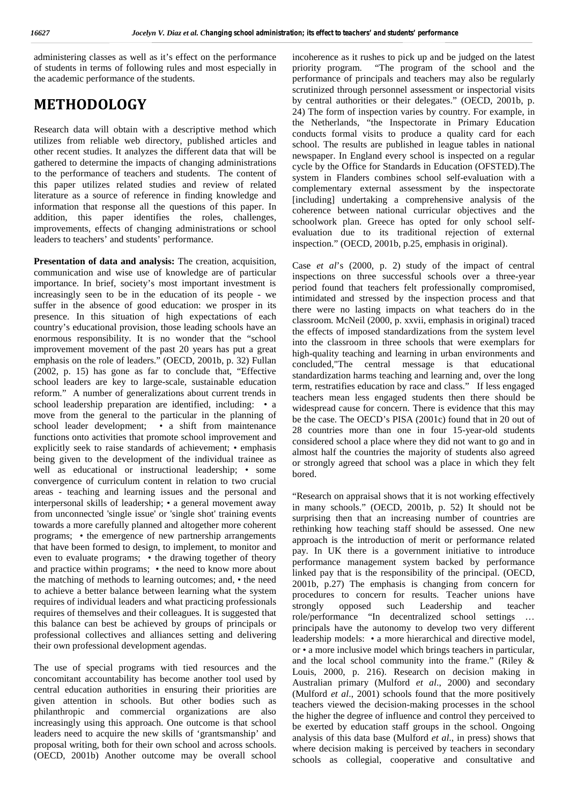administering classes as well as it's effect on the performance of students in terms of following rules and most especially in the academic performance of the students.

# **METHODOLOGY**

Research data will obtain with a descriptive method which utilizes from reliable web directory, published articles and other recent studies. It analyzes the different data that will be gathered to determine the impacts of changing administrations to the performance of teachers and students. The content of this paper utilizes related studies and review of related literature as a source of reference in finding knowledge and information that response all the questions of this paper. In addition, this paper identifies the roles, challenges, improvements, effects of changing administrations or school leaders to teachers' and students' performance.

**Presentation of data and analysis:** The creation, acquisition, communication and wise use of knowledge are of particular importance. In brief, society's most important investment is increasingly seen to be in the education of its people - we suffer in the absence of good education: we prosper in its presence. In this situation of high expectations of each country's educational provision, those leading schools have an enormous responsibility. It is no wonder that the "school improvement movement of the past 20 years has put a great emphasis on the role of leaders." (OECD, 2001b, p. 32) Fullan (2002, p. 15) has gone as far to conclude that, "Effective school leaders are key to large-scale, sustainable education reform." A number of generalizations about current trends in school leadership preparation are identified, including: • a move from the general to the particular in the planning of school leader development; • a shift from maintenance functions onto activities that promote school improvement and explicitly seek to raise standards of achievement; • emphasis being given to the development of the individual trainee as well as educational or instructional leadership; • some convergence of curriculum content in relation to two crucial areas - teaching and learning issues and the personal and interpersonal skills of leadership; • a general movement away from unconnected 'single issue' or 'single shot' training events towards a more carefully planned and altogether more coherent programs; • the emergence of new partnership arrangements that have been formed to design, to implement, to monitor and even to evaluate programs; • the drawing together of theory and practice within programs; • the need to know more about the matching of methods to learning outcomes; and, • the need to achieve a better balance between learning what the system requires of individual leaders and what practicing professionals strongly requires of themselves and their colleagues. It is suggested that this balance can best be achieved by groups of principals or professional collectives and alliances setting and delivering their own professional development agendas.

The use of special programs with tied resources and the concomitant accountability has become another tool used by central education authorities in ensuring their priorities are given attention in schools. But other bodies such as philanthropic and commercial organizations are also increasingly using this approach. One outcome is that school leaders need to acquire the new skills of 'grantsmanship' and proposal writing, both for their own school and across schools. (OECD, 2001b) Another outcome may be overall school

incoherence as it rushes to pick up and be judged on the latest priority program. "The program of the school and the performance of principals and teachers may also be regularly scrutinized through personnel assessment or inspectorial visits by central authorities or their delegates." (OECD, 2001b, p. 24) The form of inspection varies by country. For example, in the Netherlands, "the Inspectorate in Primary Education conducts formal visits to produce a quality card for each school. The results are published in league tables in national newspaper. In England every school is inspected on a regular cycle by the Office for Standards in Education (OFSTED).The system in Flanders combines school self-evaluation with a complementary external assessment by the inspectorate [including] undertaking a comprehensive analysis of the coherence between national curricular objectives and the schoolwork plan. Greece has opted for only school self evaluation due to its traditional rejection of external inspection." (OECD, 2001b, p.25, emphasis in original).

Case *et al*'s (2000, p. 2) study of the impact of central inspections on three successful schools over a three-year period found that teachers felt professionally compromised, intimidated and stressed by the inspection process and that there were no lasting impacts on what teachers do in the classroom. McNeil (2000, p. xxvii, emphasis in original) traced the effects of imposed standardizations from the system level into the classroom in three schools that were exemplars for high-quality teaching and learning in urban environments and concluded,"The central message is that educational standardization harms teaching and learning and, over the long term, restratifies education by race and class." If less engaged teachers mean less engaged students then there should be widespread cause for concern. There is evidence that this may be the case. The OECD's PISA (2001c) found that in 20 out of 28 countries more than one in four 15-year-old students considered school a place where they did not want to go and in almost half the countries the majority of students also agreed or strongly agreed that school was a place in which they felt bored.

"Research on appraisal shows that it is not working effectively in many schools." (OECD, 2001b, p. 52) It should not be surprising then that an increasing number of countries are rethinking how teaching staff should be assessed. One new approach is the introduction of merit or performance related pay. In UK there is a government initiative to introduce performance management system backed by performance linked pay that is the responsibility of the principal. (OECD, 2001b, p.27) The emphasis is changing from concern for procedures to concern for results. Teacher unions have opposed such Leadership and teacher role/performance "In decentralized school settings … principals have the autonomy to develop two very different leadership models: • a more hierarchical and directive model, or • a more inclusive model which brings teachers in particular, and the local school community into the frame." (Riley & Louis, 2000, p. 216). Research on decision making in Australian primary (Mulford *et al*., 2000) and secondary (Mulford *et al*., 2001) schools found that the more positively teachers viewed the decision-making processes in the school the higher the degree of influence and control they perceived to be exerted by education staff groups in the school. Ongoing analysis of this data base (Mulford *et al*., in press) shows that where decision making is perceived by teachers in secondary schools as collegial, cooperative and consultative and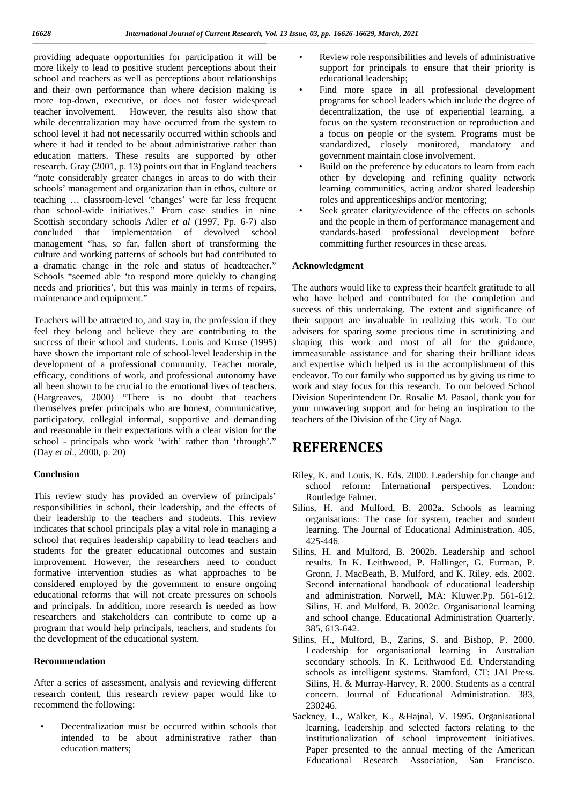providing adequate opportunities for participation it will be more likely to lead to positive student perceptions about their school and teachers as well as perceptions about relationships and their own performance than where decision making is more top-down, executive, or does not foster widespread teacher involvement. However, the results also show that while decentralization may have occurred from the system to school level it had not necessarily occurred within schools and where it had it tended to be about administrative rather than education matters. These results are supported by other research. Gray (2001, p. 13) points out that in England teachers "note considerably greater changes in areas to do with their schools' management and organization than in ethos, culture or teaching … classroom-level 'changes' were far less frequent than school-wide initiatives." From case studies in nine Scottish secondary schools Adler *et al* (1997, Pp. 6-7) also concluded that implementation of devolved school management "has, so far, fallen short of transforming the culture and working patterns of schools but had contributed to a dramatic change in the role and status of headteacher." Schools "seemed able 'to respond more quickly to changing needs and priorities', but this was mainly in terms of repairs, maintenance and equipment."

Teachers will be attracted to, and stay in, the profession if they feel they belong and believe they are contributing to the success of their school and students. Louis and Kruse (1995) have shown the important role of school-level leadership in the development of a professional community. Teacher morale, efficacy, conditions of work, and professional autonomy have all been shown to be crucial to the emotional lives of teachers. (Hargreaves, 2000) "There is no doubt that teachers themselves prefer principals who are honest, communicative, participatory, collegial informal, supportive and demanding and reasonable in their expectations with a clear vision for the school - principals who work 'with' rather than 'through'." (Day *et al*., 2000, p. 20)

#### **Conclusion**

This review study has provided an overview of principals' responsibilities in school, their leadership, and the effects of their leadership to the teachers and students. This review indicates that school principals play a vital role in managing a school that requires leadership capability to lead teachers and students for the greater educational outcomes and sustain improvement. However, the researchers need to conduct formative intervention studies as what approaches to be considered employed by the government to ensure ongoing educational reforms that will not create pressures on schools and principals. In addition, more research is needed as how researchers and stakeholders can contribute to come up a program that would help principals, teachers, and students for the development of the educational system.

#### **Recommendation**

After a series of assessment, analysis and reviewing different research content, this research review paper would like to recommend the following:

• Decentralization must be occurred within schools that intended to be about administrative rather than education matters;

- Review role responsibilities and levels of administrative support for principals to ensure that their priority is educational leadership;
- Find more space in all professional development programs for school leaders which include the degree of decentralization, the use of experiential learning, a focus on the system reconstruction or reproduction and a focus on people or the system. Programs must be standardized, closely monitored, mandatory and government maintain close involvement.
- Build on the preference by educators to learn from each other by developing and refining quality network learning communities, acting and/or shared leadership roles and apprenticeships and/or mentoring;
- Seek greater clarity/evidence of the effects on schools and the people in them of performance management and standards-based professional development before committing further resources in these areas.

#### **Acknowledgment**

The authors would like to express their heartfelt gratitude to all who have helped and contributed for the completion and success of this undertaking. The extent and significance of their support are invaluable in realizing this work. To our advisers for sparing some precious time in scrutinizing and shaping this work and most of all for the guidance, immeasurable assistance and for sharing their brilliant ideas and expertise which helped us in the accomplishment of this endeavor. To our family who supported us by giving us time to work and stay focus for this research. To our beloved School Division Superintendent Dr. Rosalie M. Pasaol, thank you for your unwavering support and for being an inspiration to the teachers of the Division of the City of Naga.

### **REFERENCES**

- Riley, K. and Louis, K. Eds. 2000. Leadership for change and school reform: International perspectives. London: Routledge Falmer.
- Silins, H. and Mulford, B. 2002a. Schools as learning organisations: The case for system, teacher and student learning. The Journal of Educational Administration. 405, 425-446.
- Silins, H. and Mulford, B. 2002b. Leadership and school results. In K. Leithwood, P. Hallinger, G. Furman, P. Gronn, J. MacBeath, B. Mulford, and K. Riley. eds. 2002. Second international handbook of educational leadership and administration. Norwell, MA: Kluwer.Pp. 561-612. Silins, H. and Mulford, B. 2002c. Organisational learning and school change. Educational Administration Quarterly. 385, 613-642.
- Silins, H., Mulford, B., Zarins, S. and Bishop, P. 2000. Leadership for organisational learning in Australian secondary schools. In K. Leithwood Ed. Understanding schools as intelligent systems. Stamford, CT: JAI Press. Silins, H. & Murray-Harvey, R. 2000. Students as a central concern. Journal of Educational Administration. 383, 230246.
- Sackney, L., Walker, K., &Hajnal, V. 1995. Organisational learning, leadership and selected factors relating to the institutionalization of school improvement initiatives. Paper presented to the annual meeting of the American Educational Research Association, San Francisco.